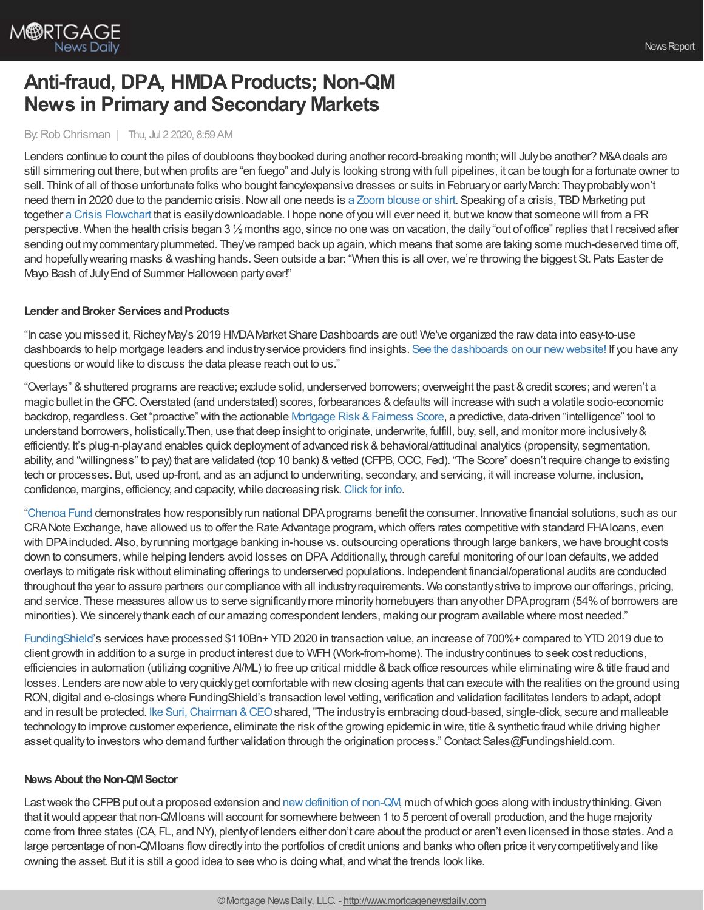

# **Anti-fraud, DPA, HMDA Products; Non-QM News in Primary and Secondary Markets**

# By: Rob Chrisman | Thu, Jul 2 2020, 8:59 AM

Lenders continue to count the piles of doubloons they booked during another record-breaking month; will July be another? M&A deals are still simmering out there, butwhen profits are "en fuego" and Julyis looking strong with full pipelines, it can be tough for a fortunate owner to sell. Think of all of those unfortunate folks who bought fancy/expensive dresses or suits in Februaryor earlyMarch: Theyprobablywon't need them in 2020 due to the pandemic crisis.Nowall one needs is a Zoom [blouse](https://www.nytimes.com/2020/06/29/business/zoom-shirt.html?action=click&module=Top%20Stories&pgtype=Homepage) or shirt. Speaking of a crisis, TBD Marketing put together a Crisis [Flowchart](https://www.marketingtbd.com/) that is easily downloadable. I hope none of you will ever need it, but we know that someone will from a PR perspective. When the health crisis began 3 ½months ago, since no one was on vacation, the daily"out of office" replies that I received after sending out my commentary plummeted. They've ramped back up again, which means that some are taking some much-deserved time off, and hopefullywearing masks & washing hands. Seen outside a bar: "When this is all over, we're throwing the biggest St. Pats Easter de Mayo Bash of July End of Summer Halloween party ever!"

#### **Lender and Broker Services and Products**

"In case you missed it, Richey May's 2019 HMDA Market Share Dashboards are out! We've organized the raw data into easy-to-use dashboards to help mortgage leaders and industryservice providers find insights. See the dashboards on our [newwebsite!](https://richeymay.com/insights/hmda-market-share-dashboards/) If you have any questions or would like to discuss the data please reach out to us."

"Overlays" &shuttered programs are reactive; exclude solid, underserved borrowers; overweight the past &credit scores; and weren't a magic bullet in the GFC. Overstated (and understated) scores, forbearances & defaults will increase with such a volatile socio-economic backdrop, regardless. Get "proactive" with the actionable Mortgage Risk & Fairness Score, a predictive, data-driven "intelligence" tool to understand borrowers, holistically.Then, use that deep insight to originate, underwrite, fulfill, buy, sell, and monitor more inclusively& efficiently. It's plug-n-play and enables quick deployment of advanced risk & behavioral/attitudinal analytics (propensity, segmentation, ability, and "willingness" to pay) that are validated (top 10 bank) & vetted (CFPB, OCC, Fed). "The Score" doesn't require change to existing tech or processes. But, used up-front, and as an adjunct to underwriting, secondary, and servicing, itwill increase volume, inclusion, confidence, margins, efficiency, and capacity,while decreasing risk.[Click](https://www.aliyamortgage.com/mortgage-risk-score/) for info.

["Chenoa](http://chenoafund.org/) Fund demonstrates howresponsiblyrun national DPAprograms benefit the consumer. Innovative financial solutions, such as our CRANote Exchange, have allowed us to offer the Rate Advantage program,which offers rates competitive with standard FHAloans, even with DPA included. Also, by running mortgage banking in-house vs. outsourcing operations through large bankers, we have brought costs down to consumers, while helping lenders avoid losses on DPA Additionally, through careful monitoring of our loan defaults, we added overlays to mitigate riskwithout eliminating offerings to underserved populations. Independent financial/operational audits are conducted throughout the year to assure partners our compliance with all industryrequirements. We constantlystrive to improve our offerings, pricing, and service. These measures allow us to serve significantly more minority homebuyers than any other DPA program (54% of borrowers are minorities). We sincerelythank each of our amazing correspondent lenders, making our program available where most needed."

[FundingShield](https://www.fundingshield.com/)'s services have processed \$110Bn+ YTD2020 in transaction value, an increase of 700%+ compared to YTD2019 due to client growth in addition to a surge in product interest due to WFH(Work-from-home). The industrycontinues to seek cost reductions, efficiencies in automation (utilizing cognitive AI/ML) to free up critical middle & back office resources while eliminating wire & title fraud and losses. Lenders are now able to very quickly get comfortable with new closing agents that can execute with the realities on the ground using RON, digital and e-closings where FundingShield's transaction level vetting, verification and validation facilitates lenders to adapt, adopt and in result be protected. Ike Suri, Chairman & CEO shared, "The industry is embracing cloud-based, single-click, secure and malleable technology to improve customer experience, eliminate the risk of the growing epidemic in wire, title & synthetic fraud while driving higher asset quality to investors who demand further validation through the origination process." Contact Sales@Fundingshield.com.

### **News About the Non-QM Sector**

Last week the CFPB put out a proposed extension and new definition of non-QM, much of which goes along with industry thinking. Given that itwould appear that non-QMloans will account for somewhere between 1 to 5 percent of overall production, and the huge majority come from three states (CA, FL, and NY), plentyof lenders either don't care about the product or aren't even licensed in those states. And a large percentage of non-QMIoans flow directly into the portfolios of credit unions and banks who often price it very competitively and like owning the asset. But it is still a good idea to see who is doing what, and what the trends look like.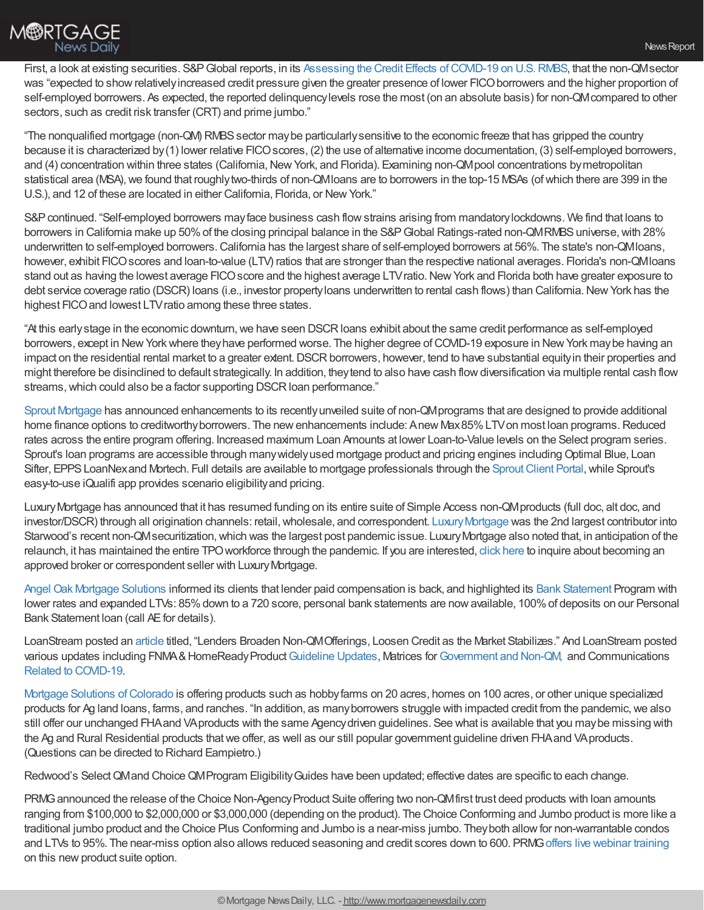

First, a look at existing securities. S&P Global reports, in its Assessing the Credit Effects of COVID-19 on U.S. RMBS, that the non-QMsector was "expected to showrelativelyincreased credit pressure given the greater presence of lower FICOborrowers and the higher proportion of self-employed borrowers. As expected, the reported delinquencylevels rose the most (on an absolute basis) for non-QMcompared to other sectors, such as credit risk transfer (CRT) and prime jumbo."

"The nonqualified mortgage (non-QM) RMBS sector may be particularly sensitive to the economic freeze that has gripped the country because it is characterized by(1) lower relative FICO scores, (2) the use of alternative income documentation, (3) self-employed borrowers, and (4) concentration within three states (California, New York, and Florida). Examining non-QM pool concentrations by metropolitan statistical area (MSA), we found that roughly two-thirds of non-QMIoans are to borrowers in the top-15 MSAs (of which there are 399 in the U.S.), and 12 of these are located in either California, Florida, or New York."

S&P continued. "Self-employed borrowers may face business cash flow strains arising from mandatory lockdowns. We find that loans to borrowers in California make up 50% of the closing principal balance in the S&P Global Ratings-rated non-QMRMBS universe, with 28% underwritten to self-employed borrowers.California has the largest share of self-employed borrowers at 56%. The state's non-QMloans, however, exhibit FICO scores and loan-to-value (LTV) ratios that are stronger than the respective national averages. Florida's non-QMIoans stand out as having the lowest average FICO score and the highest average LTV ratio. New York and Florida both have greater exposure to debt service coverage ratio (DSCR) loans (i.e., investor property loans underwritten to rental cash flows) than California. New York has the highest FICO and lowest LTV ratio among these three states.

"At this early stage in the economic downturn, we have seen DSCR loans exhibit about the same credit performance as self-employed borrowers, except in NewYorkwhere theyhave performed worse. The higher degree ofCOVID-19 exposure in NewYork maybe having an impact on the residential rental market to a greater extent. DSCR borrowers, however, tend to have substantial equity in their properties and might therefore be disinclined to default strategically. In addition, theytend to also have cash flowdiversification via multiple rental cash flow streams, which could also be a factor supporting DSCR loan performance."

Sprout [Mortgage](https://www.sproutmortgage.com/our-loan-programs) has announced enhancements to its recentlyunveiled suite of non-QMprograms that are designed to provide additional home finance options to creditworthy borrowers. The new enhancements include: Anew Max85% LTV on most loan programs. Reduced rates across the entire program offering. Increased maximum Loan Amounts at lower Loan-to-Value levels on the Select program series. Sprout's loan programs are accessible through many widely used mortgage product and pricing engines including Optimal Blue, Loan Sifter, EPPS LoanNex and Mortech. Full details are available to mortgage professionals through the Sprout Client Portal, while Sprout's easy-to-use iQualifi app provides scenario eligibilityand pricing.

LuxuryMortgage has announced that it has resumed funding on its entire suite of Simple Access non-QMproducts (full doc, alt doc, and investor/DSCR) through all origination channels: retail, wholesale, and correspondent. Luxury Mortgage was the 2nd largest contributor into Starwood's recent non-QM securitization, which was the largest post pandemic issue. Luxury Mortgage also noted that, in anticipation of the relaunch, it has maintained the entire TPOworkforce through the pandemic. If you are interested, click [here](https://luxurymortgagewholesale.com/become-an-approved-broker/) to inquire about becoming an approved broker or correspondent seller with Luxury Mortgage.

Angel Oak Mortgage [Solutions](https://angeloakms.com/programs/?utm_source=Pardot&utm_medium=Email&utm_campaign=Program+Overview) informed its clients that lender paid compensation is back, and highlighted its Bank [Statement](https://go.angeloakms.com/e/324961/l-324961-2020-01-22-xy62b/29px4l/589595835?h=ld5Pzhch3iLlr_8yoCbf4XVQg-pTDETActDjAF6auJw) Program with lower rates and expanded LTVs: 85% down to a 720 score, personal bank statements are now available, 100% of deposits on our Personal Bank Statement loan (call AEfor details).

LoanStream posted an [article](https://loanstreamwholesale.com/2020/06/lenders-broaden-non-qm-offerings/?utm_campaign=New%20Broker%20Aquisition&utm_medium=email&_hsmi=90253550&_hsenc=p2ANqtz-94TyVgk8Im6zsbhYtzLzKg6zHUkSxFZ-OthpSkBbQ23BaWDl1of12gc7rFNqKBDKRGBNAGUIXdH3KYP1SjMhspPZlsBLWWWf62YW6OgZwxWuIsLuk&utm_content=89418744&utm_source=hs_email) titled, "Lenders Broaden Non-QMOfferings, Loosen Credit as the Market Stabilizes." And LoanStream posted various updates including FNMA&HomeReady Product [Guideline](https://loanstreamwholesale.com/2020/06/announcement-fnma-homeready-product-guideline-updates/?utm_campaign=New%20Broker%20Aquisition&utm_medium=email&_hsmi=90253550&_hsenc=p2ANqtz-9_4teA6SOW0rQan-N5GhRN9ONylNr18Pz-Yrpg8hLWE4LSlLO9RdJpAECtfERWkVEq8DO3LwaruE5QwfmpqZ0Mad5Bm455gpQGIggkJR5BqPPKYow&utm_content=89418744&utm_source=hs_email) Updates, Matrices for [Government](https://loanstreamwholesale.com/programs/?utm_campaign=New%20Broker%20Aquisition&utm_medium=email&_hsmi=90253550&_hsenc=p2ANqtz-9DWGdr3va4e3_guyeqwYtxgLlLRw_8nttTCrwqWYPFyjHSWG8jyqPgowE4_YVvF7zfW9zTRAjumoquz-TeKh96cFul6ViKKkq6VGbvZ-R3RvclFzU&utm_content=89418744&utm_source=hs_email) and Non-QM, and Communications Related to [COVID-19](https://loanstreamwholesale.com/2020/05/announcementcommunicationsrelatedtocovid-19/?utm_campaign=New%20Broker%20Aquisition&utm_medium=email&_hsmi=90253550&_hsenc=p2ANqtz-98GPd-ZeV6c1aERuq-HaLdEXdTaf6O4qHFfmoIGydCV7wTsTYaSpN8fWPuul2riXj_wjj4lVM_X8yxn9cTS9RwnXYoP-cHq4GK6zHqJP4NHtLPo-E&utm_content=89418744&utm_source=hs_email).

Mortgage Solutions [ofColorado](https://mortgagesolutions.net/about-us/) is offering products such as hobbyfarms on 20 acres, homes on 100 acres, or other unique specialized products for Ag land loans, farms, and ranches. "In addition, as manyborrowers struggle with impacted credit from the pandemic,we also still offer our unchanged FHA and VA products with the same Agency driven guidelines. See what is available that you may be missing with the Ag and Rural Residential products thatwe offer, as well as our still popular government guideline driven FHAand VAproducts. (Questions can be directed to Richard Eampietro.)

Redwood's Select QMand Choice QM Program Eligibility Guides have been updated; effective dates are specific to each change.

PRMG announced the release of the Choice Non-Agency Product Suite offering two non-QMfirst trust deed products with loan amounts ranging from \$100,000 to \$2,000,000 or \$3,000,000 (depending on the product). The Choice Conforming and Jumbo product is more like a traditional jumbo product and the Choice Plus Conforming and Jumbo is a near-miss jumbo. Theyboth allowfor non-warrantable condos and LTVs to 95%. The near-miss option also allows reduced seasoning and credit scores down to 600. PRMGoffers live [webinar](https://register.gotowebinar.com/rt/4790233918067221761) training on this new product suite option.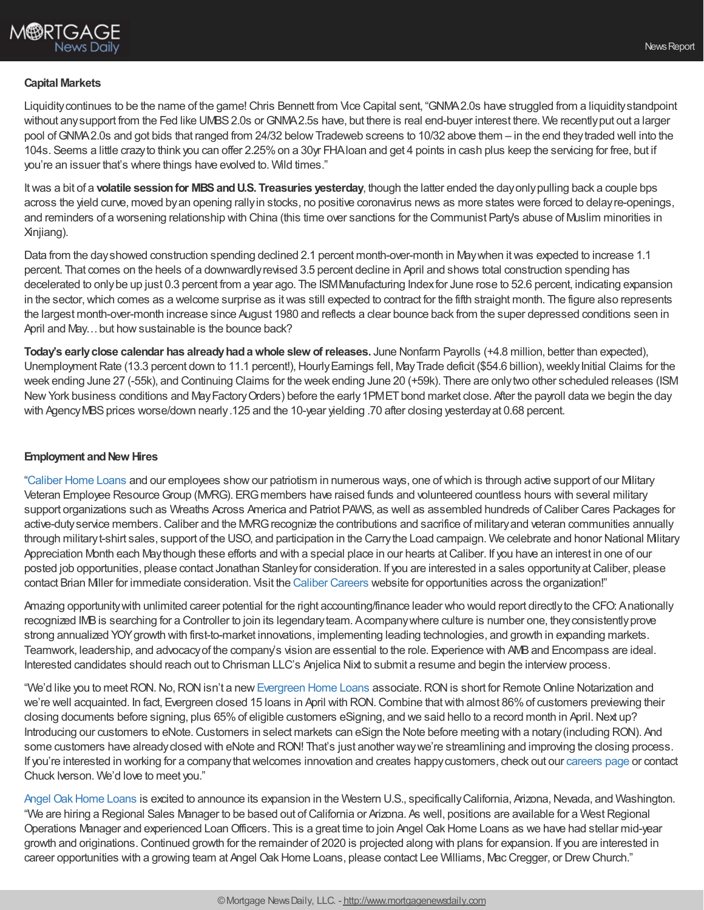## **Capital Markets**

Liquidity continues to be the name of the game! Chris Bennett from Vice Capital sent, "GNMA2.0s have struggled from a liquidity standpoint without any support from the Fed like UMBS 2.0s or GNMA 2.5s have, but there is real end-buyer interest there. We recently put out a larger pool ofGNMA2.0s and got bids that ranged from 24/32 belowTradeweb screens to 10/32 above them – in the end theytraded well into the 104s. Seems a little crazyto think you can offer 2.25%on a 30yr FHAloan and get 4 points in cash plus keep the servicing for free, but if you're an issuer that's where things have evolved to. Wild times."

Itwas a bit of a **volatile sessionfor MBSandU.S. Treasuries yesterday**, though the latter ended the dayonlypulling back a couple bps across the yield curve, moved byan opening rallyin stocks, no positive coronavirus news as more states were forced to delayre-openings, and reminders of a worsening relationship with China (this time over sanctions for the Communist Party's abuse of Muslim minorities in Xinjiang).

Data from the dayshowed construction spending declined 2.1 percent month-over-month in Maywhen itwas expected to increase 1.1 percent. That comes on the heels of a downwardlyrevised 3.5 percent decline in April and shows total construction spending has decelerated to onlybe up just 0.3 percent from a year ago. The ISMManufacturing Indexfor June rose to 52.6 percent, indicating expansion in the sector, which comes as a welcome surprise as it was still expected to contract for the fifth straight month. The figure also represents the largest month-over-month increase since August 1980 and reflects a clear bounce back from the super depressed conditions seen in April and May... but how sustainable is the bounce back?

**Today's earlyclose calendar has alreadyhadawhole slew ofreleases.** June Nonfarm Payrolls (+4.8 million, better than expected), Unemployment Rate (13.3 percent down to 11.1 percent!), Hourly Earnings fell, May Trade deficit (\$54.6 billion), weekly Initial Claims for the week ending June 27 (-55k), and Continuing Claims for the week ending June 20 (+59k). There are onlytwo other scheduled releases (ISM New York business conditions and May Factory Orders) before the early 1PMET bond market close. After the payroll data we begin the day with Agency MBS prices worse/down nearly .125 and the 10-year yielding .70 after closing yesterday at 0.68 percent.

#### **Employment and New Hires**

["Caliber](https://recruiting.adp.com/srccar/public/RTI.home?d=ExternalCaliberHomeLoans&_icx=v02Pg0E8dry77as%252F53w4AJaa70NZw%252Fw8fF8hbFO1EF85wLt9DxjYJuzTaiz3cC3bUG0&c=1060341&_dissimuloSSO=k81IQ_xGY14:XQC7YMN_-Mx6DdXOyW3KVTQohAw) Home Loans and our employees showour patriotism in numerous ways, one ofwhich is through active support of our Military Veteran Employee Resource Group (MVRG). ERG members have raised funds and volunteered countless hours with several military support organizations such as Wreaths Across America and Patriot PAWS, as well as assembled hundreds ofCaliber Cares Packages for active-duty service members. Caliber and the MVRG recognize the contributions and sacrifice of military and veteran communities annually through militaryt-shirt sales, support of the USO, and participation in the Carrythe Load campaign. We celebrate and honor National Military Appreciation Month each May though these efforts and with a special place in our hearts at Caliber. If you have an interest in one of our posted job opportunities, please contact Jonathan Stanley for consideration. If you are interested in a sales opportunity at Caliber, please contact Brian Miller for immediate consideration. Visit the Caliber [Careers](https://recruiting.adp.com/srccar/public/RTI.home?d=ExternalCaliberHomeLoans&_icx=v02Pg0E8dry77as%252F53w4AJaa70NZw%252Fw8fF8hbFO1EF85wLt9DxjYJuzTaiz3cC3bUG0&c=1060341&_dissimuloSSO=k81IQ_xGY14:XQC7YMN_-Mx6DdXOyW3KVTQohAw) website for opportunities across the organization!"

Amazing opportunitywith unlimited career potential for the right accounting/finance leader who would report directlyto the CFO: Anationally recognized IMBis searching for a Controller to join its legendaryteam. Acompanywhere culture is number one, theyconsistentlyprove strong annualized YOYgrowth with first-to-market innovations, implementing leading technologies, and growth in expanding markets. Teamwork, leadership, and advocacyof the company's vision are essential to the role. Experience with AMBand Encompass are ideal. Interested candidates should reach out to Chrisman LLC's Anjelica Nixt to submit a resume and begin the interview process.

"We'd like you to meet RON. No, RON isn't a new [Evergreen](https://www.evergreenhomeloans.com/) Home Loans associate. RON is short for Remote Online Notarization and we're well acquainted. In fact, Evergreen closed 15 loans in April with RON.Combine thatwith almost 86%of customers previewing their closing documents before signing, plus 65% of eligible customers eSigning, and we said hello to a record month in April. Next up? Introducing our customers to eNote.Customers in select markets can eSign the Note before meeting with a notary(including RON). And some customers have already closed with eNote and RON! That's just another way we're streamlining and improving the closing process. If you're interested in working for a companythatwelcomes innovation and creates happycustomers, check out our [careers](https://www.evergreenhomeloans.com/why-evergreen/mortgage-jobs) page or contact Chuck Iverson. We'd love to meet you."

Angel Oak Home Loans is excited to announce its expansion in the Western U.S., specifically California, Arizona, Nevada, and Washington. "We are hiring a Regional Sales Manager to be based out of California or Arizona. As well, positions are available for a West Regional Operations Manager and experienced LoanOfficers. This is a great time to join Angel OakHome Loans as we have had stellar mid-year growth and originations.Continued growth for the remainder of 2020 is projected along with plans for expansion. If you are interested in career opportunities with a growing team at Angel Oak Home Loans, please contact Lee Williams, Mac Cregger, or Drew Church."